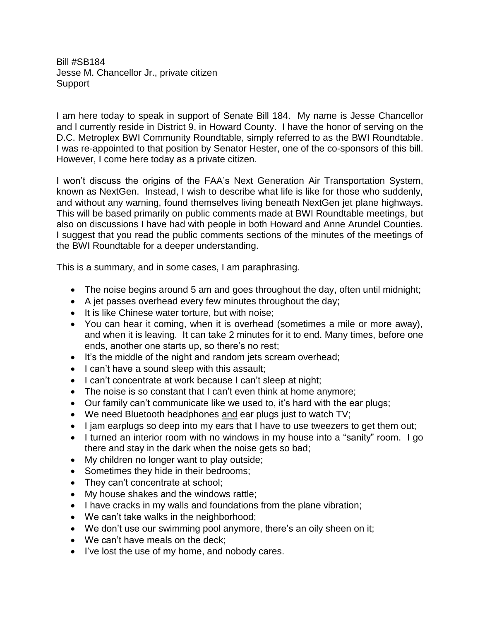Bill #SB184 Jesse M. Chancellor Jr., private citizen Support

I am here today to speak in support of Senate Bill 184. My name is Jesse Chancellor and l currently reside in District 9, in Howard County. I have the honor of serving on the D.C. Metroplex BWI Community Roundtable, simply referred to as the BWI Roundtable. I was re-appointed to that position by Senator Hester, one of the co-sponsors of this bill. However, I come here today as a private citizen.

I won't discuss the origins of the FAA's Next Generation Air Transportation System, known as NextGen. Instead, I wish to describe what life is like for those who suddenly, and without any warning, found themselves living beneath NextGen jet plane highways. This will be based primarily on public comments made at BWI Roundtable meetings, but also on discussions I have had with people in both Howard and Anne Arundel Counties. I suggest that you read the public comments sections of the minutes of the meetings of the BWI Roundtable for a deeper understanding.

This is a summary, and in some cases, I am paraphrasing.

- The noise begins around 5 am and goes throughout the day, often until midnight;
- A jet passes overhead every few minutes throughout the day;
- It is like Chinese water torture, but with noise;
- You can hear it coming, when it is overhead (sometimes a mile or more away), and when it is leaving. It can take 2 minutes for it to end. Many times, before one ends, another one starts up, so there's no rest;
- It's the middle of the night and random jets scream overhead;
- I can't have a sound sleep with this assault;
- I can't concentrate at work because I can't sleep at night;
- The noise is so constant that I can't even think at home anymore;
- Our family can't communicate like we used to, it's hard with the ear plugs;
- We need Bluetooth headphones and ear plugs just to watch TV;
- I jam earplugs so deep into my ears that I have to use tweezers to get them out;
- I turned an interior room with no windows in my house into a "sanity" room. I go there and stay in the dark when the noise gets so bad;
- My children no longer want to play outside;
- Sometimes they hide in their bedrooms;
- They can't concentrate at school;
- My house shakes and the windows rattle;
- I have cracks in my walls and foundations from the plane vibration;
- We can't take walks in the neighborhood;
- We don't use our swimming pool anymore, there's an oily sheen on it;
- We can't have meals on the deck;
- I've lost the use of my home, and nobody cares.